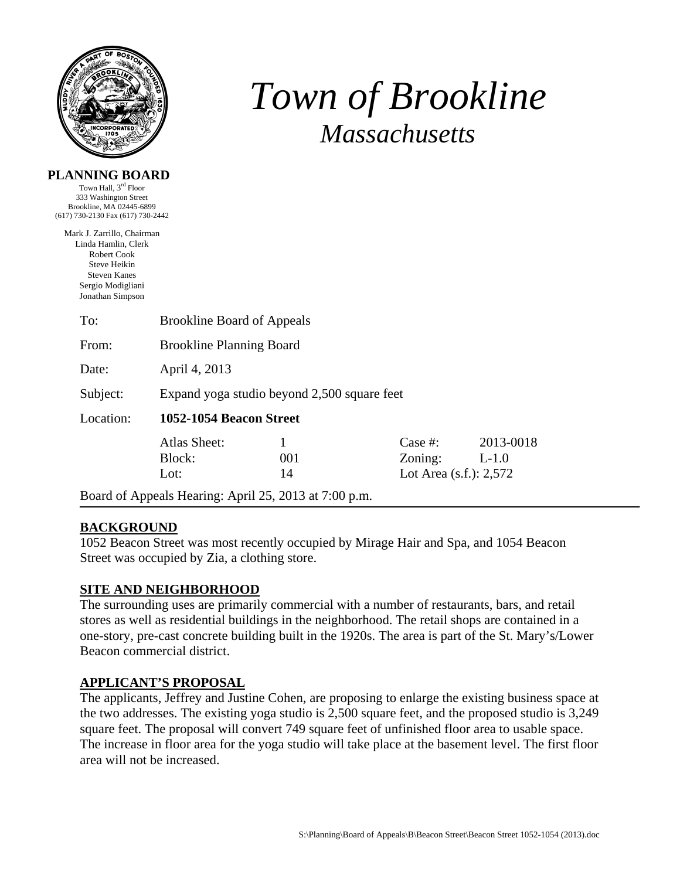

**PLANNING BOARD**  Town Hall, 3rd Floor

# *Town of Brookline Massachusetts*

| 333 Washington Street<br>Brookline, MA 02445-6899<br>(617) 730-2130 Fax (617) 730-2442                                                                  |                                                       |                |                                                 |                      |  |  |
|---------------------------------------------------------------------------------------------------------------------------------------------------------|-------------------------------------------------------|----------------|-------------------------------------------------|----------------------|--|--|
| Mark J. Zarrillo, Chairman<br>Linda Hamlin, Clerk<br><b>Robert Cook</b><br>Steve Heikin<br><b>Steven Kanes</b><br>Sergio Modigliani<br>Jonathan Simpson |                                                       |                |                                                 |                      |  |  |
| To:                                                                                                                                                     | <b>Brookline Board of Appeals</b>                     |                |                                                 |                      |  |  |
| From:                                                                                                                                                   | <b>Brookline Planning Board</b>                       |                |                                                 |                      |  |  |
| Date:                                                                                                                                                   | April 4, 2013                                         |                |                                                 |                      |  |  |
| Subject:                                                                                                                                                | Expand yoga studio beyond 2,500 square feet           |                |                                                 |                      |  |  |
| Location:                                                                                                                                               | 1052-1054 Beacon Street                               |                |                                                 |                      |  |  |
|                                                                                                                                                         | <b>Atlas Sheet:</b><br>Block:<br>Lot:                 | 1<br>001<br>14 | Case #:<br>Zoning:<br>Lot Area $(s.f.)$ : 2,572 | 2013-0018<br>$L-1.0$ |  |  |
|                                                                                                                                                         | Board of Appeals Hearing: April 25, 2013 at 7:00 p.m. |                |                                                 |                      |  |  |

## **BACKGROUND**

1052 Beacon Street was most recently occupied by Mirage Hair and Spa, and 1054 Beacon Street was occupied by Zia, a clothing store.

## **SITE AND NEIGHBORHOOD**

The surrounding uses are primarily commercial with a number of restaurants, bars, and retail stores as well as residential buildings in the neighborhood. The retail shops are contained in a one-story, pre-cast concrete building built in the 1920s. The area is part of the St. Mary's/Lower Beacon commercial district.

#### **APPLICANT'S PROPOSAL**

The applicants, Jeffrey and Justine Cohen, are proposing to enlarge the existing business space at the two addresses. The existing yoga studio is 2,500 square feet, and the proposed studio is 3,249 square feet. The proposal will convert 749 square feet of unfinished floor area to usable space. The increase in floor area for the yoga studio will take place at the basement level. The first floor area will not be increased.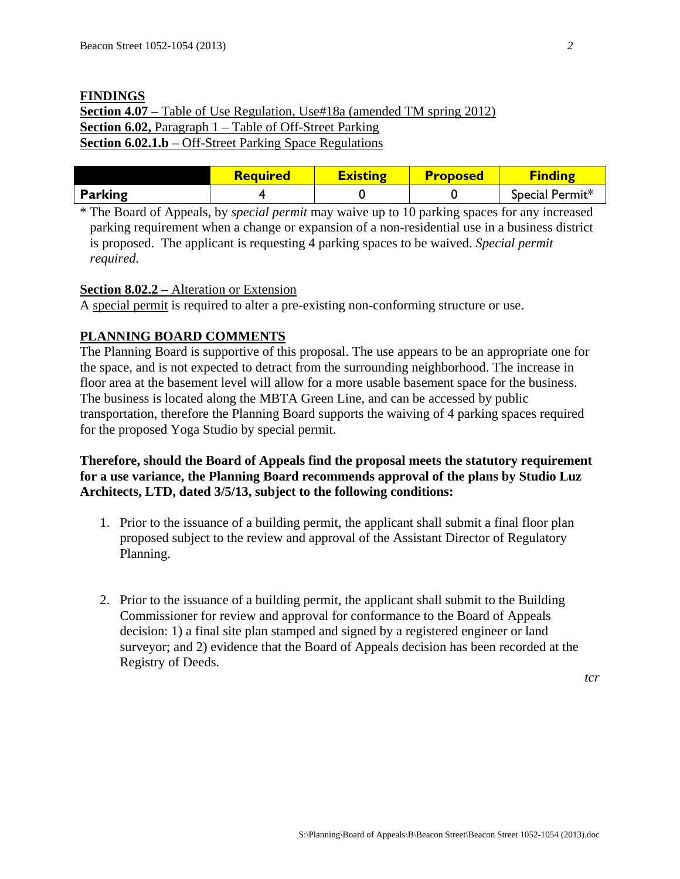# **FINDINGS Section 4.07 –** Table of Use Regulation, Use#18a (amended TM spring 2012) **Section 6.02,** Paragraph 1 – Table of Off-Street Parking **Section 6.02.1.b** – Off-Street Parking Space Regulations

|                | <b>Required</b> | <b>Existing</b> | <b>Proposed</b> | <b>Finding</b>  |
|----------------|-----------------|-----------------|-----------------|-----------------|
| <b>Parking</b> |                 |                 |                 | Special Permit* |

\* The Board of Appeals, by *special permit* may waive up to 10 parking spaces for any increased parking requirement when a change or expansion of a non-residential use in a business district is proposed. The applicant is requesting 4 parking spaces to be waived. *Special permit required.*

## **Section 8.02.2 –** Alteration or Extension

A special permit is required to alter a pre-existing non-conforming structure or use.

## **PLANNING BOARD COMMENTS**

The Planning Board is supportive of this proposal. The use appears to be an appropriate one for the space, and is not expected to detract from the surrounding neighborhood. The increase in floor area at the basement level will allow for a more usable basement space for the business. The business is located along the MBTA Green Line, and can be accessed by public transportation, therefore the Planning Board supports the waiving of 4 parking spaces required for the proposed Yoga Studio by special permit.

## **Therefore, should the Board of Appeals find the proposal meets the statutory requirement for a use variance, the Planning Board recommends approval of the plans by Studio Luz Architects, LTD, dated 3/5/13, subject to the following conditions:**

- 1. Prior to the issuance of a building permit, the applicant shall submit a final floor plan proposed subject to the review and approval of the Assistant Director of Regulatory Planning.
- 2. Prior to the issuance of a building permit, the applicant shall submit to the Building Commissioner for review and approval for conformance to the Board of Appeals decision: 1) a final site plan stamped and signed by a registered engineer or land surveyor; and 2) evidence that the Board of Appeals decision has been recorded at the Registry of Deeds.